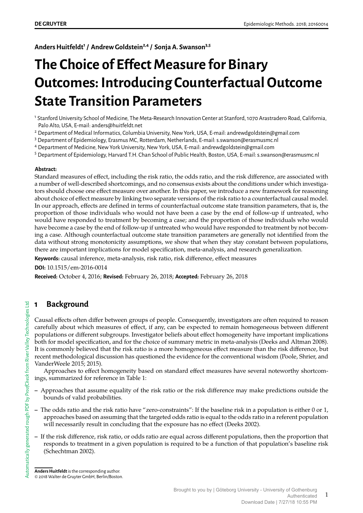**Anders Huitfeldt<sup>1</sup> / Andrew Goldstein2,4 / Sonja A. Swanson3,5**

# **The Choice of Effect Measure for Binary Outcomes: Introducing Counterfactual Outcome State Transition Parameters**

<sup>1</sup> Stanford University School of Medicine, The Meta-Research Innovation Center at Stanford, 1070 Arastradero Road, California, Palo Alto, USA, E-mail: anders@huitfeldt.net

<sup>2</sup> Department of Medical Informatics, Columbia University, New York, USA, E-mail: andrewdgoldstein@gmail.com

<sup>3</sup> Department of Epidemiology, Erasmus MC, Rotterdam, Netherlands, E-mail: s.swanson@erasmusmc.nl

<sup>4</sup> Department of Medicine, New York University, New York, USA, E-mail: andrewdgoldstein@gmail.com

<sup>5</sup> Department of Epidemiology, Harvard T.H. Chan School of Public Health, Boston, USA, E-mail: s.swanson@erasmusmc.nl

## **Abstract:**

Standard measures of effect, including the risk ratio, the odds ratio, and the risk difference, are associated with a number of well-described shortcomings, and no consensus exists about the conditions under which investigators should choose one effect measure over another. In this paper, we introduce a new framework for reasoning about choice of effect measure by linking two separate versions of the risk ratio to a counterfactual causal model. In our approach, effects are defined in terms of counterfactual outcome state transition parameters, that is, the proportion of those individuals who would not have been a case by the end of follow-up if untreated, who would have responded to treatment by becoming a case; and the proportion of those individuals who would have become a case by the end of follow-up if untreated who would have responded to treatment by not becoming a case. Although counterfactual outcome state transition parameters are generally not identified from the data without strong monotonicity assumptions, we show that when they stay constant between populations, there are important implications for model specification, meta-analysis, and research generalization.

**Keywords:** causal inference, meta-analysis, risk ratio, risk difference, effect measures

**DOI:** 10.1515/em-2016-0014

**Received:** October 4, 2016; **Revised:** February 26, 2018; **Accepted:** February 26, 2018

# **1 Background**

Causal effects often differ between groups of people. Consequently, investigators are often required to reason carefully about which measures of effect, if any, can be expected to remain homogeneous between different populations or different subgroups. Investigator beliefs about effect homogeneity have important implications both for model specification, and for the choice of summary metric in meta-analysis (Deeks and Altman 2008). It is commonly believed that the risk ratio is a more homogeneous effect measure than the risk difference, but recent methodological discussion has questioned the evidence for the conventional wisdom (Poole, Shrier, and VanderWeele 2015; 2015).

Approaches to effect homogeneity based on standard effect measures have several noteworthy shortcomings, summarized for reference in Table 1:

- **–** Approaches that assume equality of the risk ratio or the risk difference may make predictions outside the bounds of valid probabilities.
- **–** The odds ratio and the risk ratio have "zero-constraints": If the baseline risk in a population is either 0 or 1, approaches based on assuming that the targeted odds ratio is equal to the odds ratio in a referent population will necessarily result in concluding that the exposure has no effect (Deeks 2002).
- **–** If the risk difference, risk ratio, or odds ratio are equal across different populations, then the proportion that responds to treatment in a given population is required to be a function of that population's baseline risk (Schechtman 2002).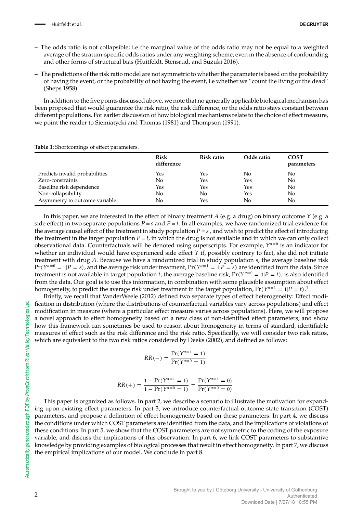- **–** The odds ratio is not collapsible; i.e the marginal value of the odds ratio may not be equal to a weighted average of the stratum-specific odds ratios under any weighting scheme, even in the absence of confounding and other forms of structural bias (Huitfeldt, Stensrud, and Suzuki 2016).
- **–** The predictions of the risk ratio model are not symmetric to whether the parameter is based on the probability of having the event, or the probability of not having the event, i.e whether we "count the living or the dead" (Sheps 1958).

In addition to the five points discussed above, we note that no generally applicable biological mechanism has been proposed that would guarantee the risk ratio, the risk difference, or the odds ratio stays constant between different populations. For earlier discussion of how biological mechanisms relate to the choice of effect measure, we point the reader to Siemiatycki and Thomas (1981) and Thompson (1991).

**Table 1:** Shortcomings of effect parameters.

|                                | <b>Risk</b><br>difference | Risk ratio | Odds ratio | <b>COST</b><br>parameters |
|--------------------------------|---------------------------|------------|------------|---------------------------|
| Predicts invalid probabilities | Yes                       | Yes        | No         | No.                       |
| Zero-constraints               | No                        | Yes        | Yes        | No                        |
| Baseline risk dependence       | Yes                       | Yes        | Yes        | No                        |
| Non-collapsibility             | No                        | No         | Yes        | No                        |
| Asymmetry to outcome variable  | No                        | Yes        | No         | No                        |

In this paper, we are interested in the effect of binary treatment *A* (e.g. a drug) on binary outcome *Y* (e.g. a side effect) in two separate populations  $P = s$  and  $P = t$ . In all examples, we have randomized trial evidence for the average causal effect of the treatment in study population  $P = s$ , and wish to predict the effect of introducing the treatment in the target population  $P = t$ , in which the drug is not available and in which we can only collect observational data. Counterfactuals will be denoted using superscripts. For example,  $Y^{a=0}$  is an indicator for whether an individual would have experienced side effect *Y* if, possibly contrary to fact, she did not initiate treatment with drug *A*. Because we have a randomized trial in study population *s*, the average baseline risk  $Pr(Y^{a=0} = 1 | P = s)$ , and the average risk under treatment,  $Pr(Y^{a=1} = 1 | P = s)$  are identified from the data. Since treatment is not available in target population *t*, the average baseline risk,  $Pr(Y^{a=0} = 1|P = t)$ , is also identified from the data. Our goal is to use this information, in combination with some plausible assumption about effect homogeneity, to predict the average risk under treatment in the target population,  $Pr(Y^{a=1} = 1|P = t)$ .<sup>1</sup>

Briefly, we recall that VanderWeele (2012) defined two separate types of effect heterogeneity: Effect modification in distribution (where the distributions of counterfactual variables vary across populations) and effect modification in measure (where a particular effect measure varies across populations). Here, we will propose a novel approach to effect homogeneity based on a new class of non-identified effect parameters; and show how this framework can sometimes be used to reason about homogeneity in terms of standard, identifiable measures of effect such as the risk difference and the risk ratio. Specifically, we will consider two risk ratios, which are equivalent to the two risk ratios considered by Deeks (2002), and defined as follows:

$$
RR(-) = \frac{\Pr(Y^{a=1} = 1)}{\Pr(Y^{a=0} = 1)}
$$

$$
RR(+) = \frac{1 - \Pr(Y^{a=1} = 1)}{1 - \Pr(Y^{a=0} = 1)} = \frac{\Pr(Y^{a=1} = 0)}{\Pr(Y^{a=0} = 0)}
$$

This paper is organized as follows. In part 2, we describe a scenario to illustrate the motivation for expanding upon existing effect parameters. In part 3, we introduce counterfactual outcome state transition (COST) parameters, and propose a definition of effect homogeneity based on these parameters. In part 4, we discuss the conditions under which COST parameters are identified from the data, and the implications of violations of these conditions. In part 5, we show that the COST parameters are not symmetric to the coding of the exposure variable, and discuss the implications of this observation. In part 6, we link COST parameters to substantive knowledge by providing examples of biological processes that result in effect homogeneity. In part 7, we discuss the empirical implications of our model. We conclude in part 8.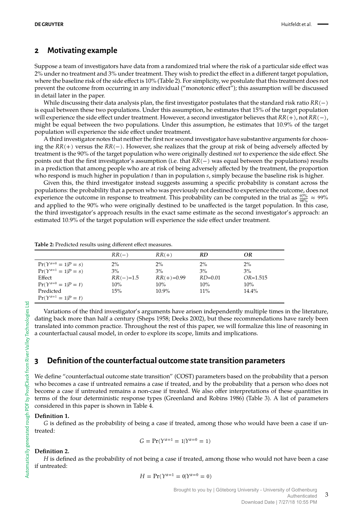# **2 Motivating example**

Suppose a team of investigators have data from a randomized trial where the risk of a particular side effect was 2% under no treatment and 3% under treatment. They wish to predict the effect in a different target population, where the baseline risk of the side effect is 10% (Table 2). For simplicity, we postulate that this treatment does not prevent the outcome from occurring in any individual ("monotonic effect"); this assumption will be discussed in detail later in the paper.

While discussing their data analysis plan, the first investigator postulates that the standard risk ratio  $RR(-)$ is equal between these two populations. Under this assumption, he estimates that 15% of the target population will experience the side effect under treatment. However, a second investigator believes that  $RR(+)$ , not  $RR(-)$ , might be equal between the two populations. Under this assumption, he estimates that 10.9% of the target population will experience the side effect under treatment.

A third investigator notes that neither the first nor second investigator have substantive arguments for choosing the  $RR(+)$  versus the  $RR(-)$ . However, she realizes that the group at risk of being adversely affected by treatment is the 90% of the target population who were originally destined *not* to experience the side effect. She points out that the first investigator's assumption (i.e. that  $RR(-)$  was equal between the populations) results in a prediction that among people who are at risk of being adversely affected by the treatment, the proportion who respond is much higher in population *t* than in population *s*, simply because the baseline risk is higher.

Given this, the third investigator instead suggests assuming a specific probability is constant across the populations: the probability that a person who was previously not destined to experience the outcome, does not experience the outcome in response to treatment. This probability can be computed in the trial as  $\frac{97\%}{98\%} \approx 99\%$ and applied to the 90% who were originally destined to be unaffected is the target population. In this case, the third investigator's approach results in the exact same estimate as the second investigator's approach: an estimated 10.9% of the target population will experience the side effect under treatment.

**Table 2:** Predicted results using different effect measures.

|                           | $RR(-)$     | $RR(+)$      | <b>RD</b>   | OR           |
|---------------------------|-------------|--------------|-------------|--------------|
| $Pr(Y^{a=0} = 1   P = s)$ | $2\%$       | $2\%$        | $2\%$       | $2\%$        |
| $Pr(Y^{a=1} = 1   P = s)$ | $3\%$       | 3%           | 3%          | 3%           |
| Effect                    | $RR(-)=1.5$ | $RR(+)=0.99$ | $RD = 0.01$ | $OR = 1.515$ |
| $Pr(Y^{a=0} = 1   P = t)$ | 10%         | $10\%$       | 10%         | 10%          |
| Predicted                 | 15%         | $10.9\%$     | 11%         | $14.4\%$     |
| $Pr(Y^{a=1} = 1   P = t)$ |             |              |             |              |

Variations of the third investigator's arguments have arisen independently multiple times in the literature, dating back more than half a century (Sheps 1958; Deeks 2002), but these recommendations have rarely been translated into common practice. Throughout the rest of this paper, we will formalize this line of reasoning in a counterfactual causal model, in order to explore its scope, limits and implications.

# **3 Definition of the counterfactual outcome state transition parameters**

We define "counterfactual outcome state transition" (COST) parameters based on the probability that a person who becomes a case if untreated remains a case if treated, and by the probability that a person who does not become a case if untreated remains a non-case if treated. We also offer interpretations of these quantities in terms of the four deterministic response types (Greenland and Robins 1986) (Table 3). A list of parameters considered in this paper is shown in Table 4.

## **Definition 1.**

*G* is defined as the probability of being a case if treated, among those who would have been a case if untreated:

$$
G = \Pr(Y^{a=1} = 1 | Y^{a=0} = 1)
$$

## **Definition 2.**

*H* is defined as the probability of not being a case if treated, among those who would not have been a case if untreated:

$$
H = \Pr(Y^{a=1} = 0 | Y^{a=0} = 0)
$$

3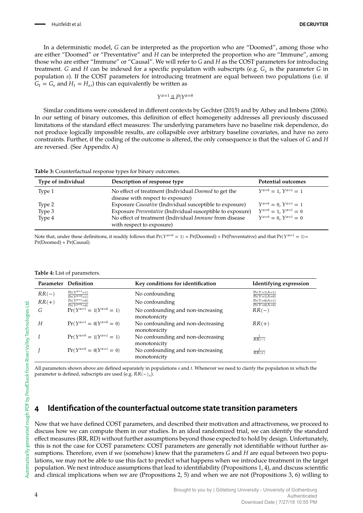In a deterministic model, *G* can be interpreted as the proportion who are "Doomed", among those who are either "Doomed" or "Preventative" and *H* can be interpreted the proportion who are "Immune", among those who are either "Immune" or "Causal". We will refer to *G* and *H* as the COST parameters for introducing treatment. *G* and *H* can be indexed for a specific population with subscripts (e.g. is the parameter *G* in population *s*). If the COST parameters for introducing treatment are equal between two populations (i.e. if  $G_t = G_s$  and  $H_t = H_s$ ,) this can equivalently be written as

$$
Y^{a=1} \!\perp\!\!\!\perp P | Y^{a=0}
$$

Similar conditions were considered in different contexts by Gechter (2015) and by Athey and Imbens (2006). In our setting of binary outcomes, this definition of effect homogeneity addresses all previously discussed limitations of the standard effect measures: The underlying parameters have no baseline risk dependence, do not produce logically impossible results, are collapsible over arbitrary baseline covariates, and have no zero constraints. Further, if the coding of the outcome is altered, the only consequence is that the values of *G* and *H* are reversed. (See Appendix A)

**Table 3:** Counterfactual response types for binary outcomes.

| Type of individual         | Description of response type                                                                                                                                                                                 | Potential outcomes                                                                           |
|----------------------------|--------------------------------------------------------------------------------------------------------------------------------------------------------------------------------------------------------------|----------------------------------------------------------------------------------------------|
| Type 1                     | No effect of treatment (Individual Doomed to get the<br>disease with respect to exposure)                                                                                                                    | $Y^{a=0} = 1, Y^{a=1} = 1$                                                                   |
| Type 2<br>Type 3<br>Type 4 | Exposure Causative (Individual susceptible to exposure)<br>Exposure Preventative (Individual susceptible to exposure)<br>No effect of treatment (Individual Immune from disease<br>with respect to exposure) | $Y^{a=0} = 0$ , $Y^{a=1} = 1$<br>$Y^{a=0} = 1, Y^{a=1} = 0$<br>$Y^{a=0} = 0$ , $Y^{a=1} = 0$ |

Note that, under these definitions, it readily follows that  $Pr(Y^{a=0} = 1) = Pr(Doomed) + Pr(Preventative)$  and that  $Pr(Y^{a=1} = 1)$ = Pr(Doomed) + Pr(Causal).

#### **Table 4:** List of parameters.

|         | Parameter Definition                    | Key conditions for identification                 | Identifying expression         |
|---------|-----------------------------------------|---------------------------------------------------|--------------------------------|
| $RR(-)$ | $\frac{\Pr(Y^{a=1}=1)}{\Pr(Y^{a=0}=1)}$ | No confounding                                    | $Pr(Y=1 A=1)$<br>$Pr(Y=1 A=0)$ |
| $RR(+)$ | $\frac{\Pr(Y^{a=1}=0)}{\Pr(Y^{a=0}=0)}$ | No confounding                                    | $Pr(Y=0 A=1)$<br>$Pr(Y=0 A=0)$ |
| G       | $Pr(Y^{a=1}) = 1   Y^{a=0} = 1)$        | No confounding and non-increasing<br>monotonicity | $RR(-)$                        |
| Н       | $\Pr(Y^{a=1} = 0   Y^{a=0} = 0)$        | No confounding and non-decreasing<br>monotonicity | $RR(+)$                        |
|         | $Pr(Y^{a=0} = 1   Y^{a=1} = 1)$         | No confounding and non-decreasing<br>monotonicity | $\frac{1}{RR(-)}$              |
|         | $Pr(Y^{a=0} = 0   Y^{a=1} = 0)$         | No confounding and non-increasing<br>monotonicity | $\frac{1}{RR(+)}$              |

All parameters shown above are defined separately in populations *s* and *t*. Whenever we need to clarify the population in which the parameter is defined, subscripts are used (e.g.  $RR(-)_s$ ).

# **4 Identification of the counterfactual outcome state transition parameters**

Now that we have defined COST parameters, and described their motivation and attractiveness, we proceed to discuss how we can compute them in our studies. In an ideal randomized trial, we can identify the standard effect measures (RR, RD) without further assumptions beyond those expected to hold by design. Unfortunately, this is not the case for COST parameters: COST parameters are generally not identifiable without further assumptions. Therefore, even if we (somehow) knew that the parameters *G* and *H* are equal between two populations, we may not be able to use this fact to predict what happens when we introduce treatment in the target population. We next introduce assumptions that lead to identifiability (Propositions 1, 4), and discuss scientific and clinical implications when we are (Propositions 2, 5) and when we are not (Propositions 3, 6) willing to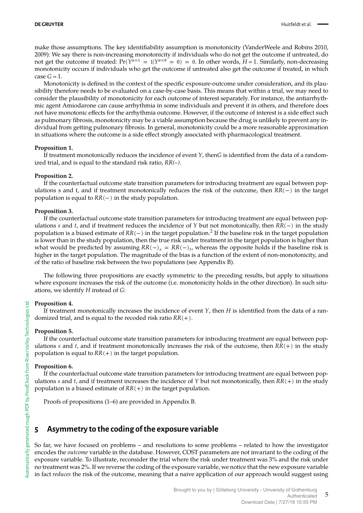make those assumptions. The key identifiability assumption is monotonicity (VanderWeele and Robins 2010, 2009): We say there is non-increasing monotonicity if individuals who do not get the outcome if untreated, do not get the outcome if treated:  $Pr(Y^{a=1} = 1 | Y^{a=0} = 0) = 0$ . In other words,  $H = 1$ . Similarly, non-decreasing monotonicity occurs if individuals who get the outcome if untreated also get the outcome if treated, in which case  $G = 1$ .

Monotonicity is defined in the context of the specific exposure-outcome under consideration, and its plausibility therefore needs to be evaluated on a case-by-case basis. This means that within a trial, we may need to consider the plausibility of monotonicity for each outcome of interest separately. For instance, the antiarrhythmic agent Amiodarone can cause arrhythmia in some individuals and prevent it in others, and therefore does not have monotonic effects for the arrhythmia outcome. However, if the outcome of interest is a side effect such as pulmonary fibrosis, monotonicity may be a viable assumption because the drug is unlikely to prevent any individual from getting pulmonary fibrosis. In general, monotonicity could be a more reasonable approximation in situations where the outcome is a side effect strongly associated with pharmacological treatment.

## **Proposition 1.**

If treatment monotonically reduces the incidence of event *Y*, then*G* is identified from the data of a randomized trial, and is equal to the standard risk ratio, *RR(*–*)*.

## **Proposition 2.**

If the counterfactual outcome state transition parameters for introducing treatment are equal between populations s and t, and if treatment monotonically reduces the risk of the outcome, then  $\overline{RR}(-)$  in the target population is equal to  $RR(-)$  in the study population.

## **Proposition 3.**

If the counterfactual outcome state transition parameters for introducing treatment are equal between populations *s* and *t*, and if treatment reduces the incidence of *Y* but not monotonically, then  $RR(-)$  in the study population is a biased estimate of  $RR(-)$  in the target population.<sup>2</sup> If the baseline risk in the target population is lower than in the study population, then the true risk under treatment in the target population is higher than what would be predicted by assuming  $RR(-)_{s} = RR(-)_{t}$ , whereas the opposite holds if the baseline risk is higher in the target population. The magnitude of the bias is a function of the extent of non-monotonicity, and of the ratio of baseline risk between the two populations (see Appendix B).

The following three propositions are exactly symmetric to the preceding results, but apply to situations where exposure increases the risk of the outcome (i.e. monotonicity holds in the other direction). In such situations, we identify *H* instead of *G*:

## **Proposition 4.**

If treatment monotonically increases the incidence of event *Y*, then *H* is identified from the data of a randomized trial, and is equal to the recoded risk ratio  $RR(+)$ .

## **Proposition 5.**

If the counterfactual outcome state transition parameters for introducing treatment are equal between populations  $s$  and  $t$ , and if treatment monotonically increases the risk of the outcome, then  $RR(+)$  in the study population is equal to  $RR(+)$  in the target population.

## **Proposition 6.**

If the counterfactual outcome state transition parameters for introducing treatment are equal between populations *s* and *t*, and if treatment increases the incidence of  $Y$  but not monotonically, then  $RR(+)$  in the study population is a biased estimate of  $RR(+)$  in the target population.

Proofs of propositions (1–6) are provided in Appendix B.

# **5 Asymmetry to the coding of the exposure variable**

So far, we have focused on problems – and resolutions to some problems – related to how the investigator encodes the *outcome* variable in the database. However, COST parameters are not invariant to the coding of the exposure variable. To illustrate, reconsider the trial where the risk under treatment was 3% and the risk under no treatment was 2%. If we reverse the coding of the exposure variable, we notice that the new exposure variable in fact *reduces* the risk of the outcome, meaning that a naive application of our approach would suggest using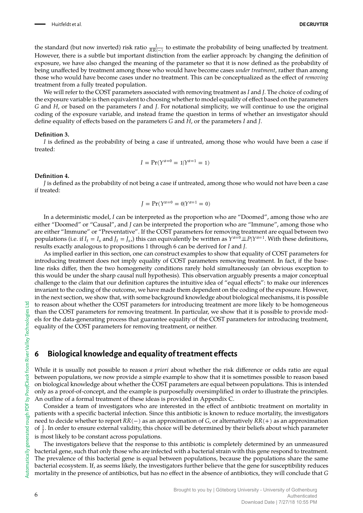the standard (but now inverted) risk ratio  $\frac{1}{RR(-)}$  to estimate the probability of being unaffected by treatment. However, there is a subtle but important distinction from the earlier approach: by changing the definition of exposure, we have also changed the meaning of the parameter so that it is now defined as the probability of being unaffected by treatment among those who would have become cases *under treatment*, rather than among those who would have become cases under no treatment. This can be conceptualized as the effect of *removing* treatment from a fully treated population.

We will refer to the COST parameters associated with removing treatment as *I* and *J*. The choice of coding of the exposure variable is then equivalent to choosing whether to model equality of effect based on the parameters *G* and *H*, or based on the parameters *I* and *J*. For notational simplicity, we will continue to use the original coding of the exposure variable, and instead frame the question in terms of whether an investigator should define equality of effects based on the parameters *G* and *H*, or the parameters *I* and *J*.

## **Definition 3.**

*I* is defined as the probability of being a case if untreated, among those who would have been a case if treated:

$$
I = \Pr(Y^{a=0} = 1 | Y^{a=1} = 1)
$$

#### **Definition 4.**

*J* is defined as the probability of not being a case if untreated, among those who would not have been a case if treated:

$$
J = \Pr(Y^{a=0} = 0 | Y^{a=1} = 0)
$$

In a deterministic model, *I* can be interpreted as the proportion who are "Doomed", among those who are either "Doomed" or "Causal", and *J* can be interpreted the proportion who are "Immune", among those who are either "Immune" or "Preventative". If the COST parameters for removing treatment are equal between two populations (i.e. if  $I_t = I_s$  and  $J_t = J_s$ ) this can equivalently be written as  $Y^{a=0} \perp P | Y^{a=1}$ . With these definitions, results exactly analogous to propositions 1 through 6 can be derived for *I* and *J*.

As implied earlier in this section, one can construct examples to show that equality of COST parameters for introducing treatment does not imply equality of COST parameters removing treatment. In fact, if the baseline risks differ, then the two homogeneity conditions rarely hold simultaneously (an obvious exception to this would be under the sharp causal null hypothesis). This observation arguably presents a major conceptual challenge to the claim that our definition captures the intuitive idea of "equal effects": to make our inferences invariant to the coding of the outcome, we have made them dependent on the coding of the exposure. However, in the next section, we show that, with some background knowledge about biological mechanisms, it is possible to reason about whether the COST parameters for introducing treatment are more likely to be homogeneous than the COST parameters for removing treatment. In particular, we show that it is possible to provide models for the data-generating process that guarantee equality of the COST parameters for introducing treatment, equality of the COST parameters for removing treatment, or neither.

# **6 Biological knowledge and equality of treatment effects**

While it is usually not possible to reason *a priori* about whether the risk difference or odds ratio are equal between populations, we now provide a simple example to show that it is sometimes possible to reason based on biological knowledge about whether the COST parameters are equal between populations. This is intended only as a proof-of-concept, and the example is purposefully oversimplified in order to illustrate the principles. An outline of a formal treatment of these ideas is provided in Appendix C.

Consider a team of investigators who are interested in the effect of antibiotic treatment on mortality in patients with a specific bacterial infection. Since this antibiotic is known to reduce mortality, the investigators need to decide whether to report  $RR(-)$  as an approximation of *G*, or alternatively  $RR(+)$  as an approximation of  $\frac{1}{f}$ . In order to ensure external validity, this choice will be determined by their beliefs about which parameter is most likely to be constant across populations.

The investigators believe that the response to this antibiotic is completely determined by an unmeasured bacterial gene, such that only those who are infected with a bacterial strain with this gene respond to treatment. The prevalence of this bacterial gene is equal between populations, because the populations share the same bacterial ecosystem. If, as seems likely, the investigators further believe that the gene for susceptibility reduces mortality in the presence of antibiotics, but has no effect in the absence of antibiotics, they will conclude that *G*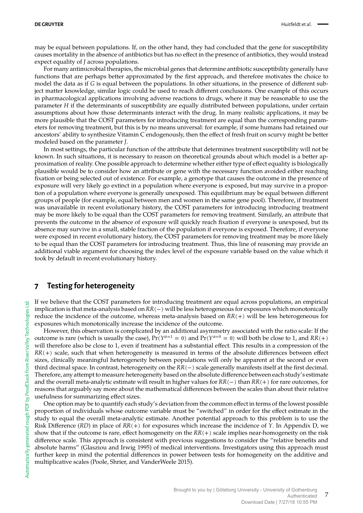may be equal between populations. If, on the other hand, they had concluded that the gene for susceptibility causes mortality in the absence of antibiotics but has no effect in the presence of antibiotics, they would instead expect equality of *J* across populations.

For many antimicrobial therapies, the microbial genes that determine antibiotic susceptibility generally have functions that are perhaps better approximated by the first approach, and therefore motivates the choice to model the data as if *G* is equal between the populations. In other situations, in the presence of different subject matter knowledge, similar logic could be used to reach different conclusions. One example of this occurs in pharmacological applications involving adverse reactions to drugs, where it may be reasonable to use the parameter *H* if the determinants of susceptibility are equally distributed between populations, under certain assumptions about how those determinants interact with the drug. In many realistic applications, it may be more plausible that the COST parameters for introducing treatment are equal than the corresponding parameters for removing treatment, but this is by no means universal: for example, if some humans had retained our ancestors' ability to synthesize Vitamin C endogenously, then the effect of fresh fruit on scurvy might be better modeled based on the parameter *J*.

In most settings, the particular function of the attribute that determines treatment susceptibility will not be known. In such situations, it is necessary to reason on theoretical grounds about which model is a better approximation of reality. One possible approach to determine whether either type of effect equality is biologically plausible would be to consider how an attribute or gene with the necessary function avoided either reaching fixation or being selected out of existence. For example, a genotype that causes the outcome in the presence of exposure will very likely go extinct in a population where everyone is exposed, but may survive in a proportion of a population where everyone is generally unexposed. This equilibrium may be equal between different groups of people (for example, equal between men and women in the same gene pool). Therefore, if treatment was unavailable in recent evolutionary history, the COST parameters for introducing introducing treatment may be more likely to be equal than the COST parameters for removing treatment. Similarly, an attribute that prevents the outcome in the absence of exposure will quickly reach fixation if everyone is unexposed, but its absence may survive in a small, stable fraction of the population if everyone is exposed. Therefore, if everyone were exposed in recent evolutionary history, the COST parameters for removing treatment may be more likely to be equal than the COST parameters for introducing treatment. Thus, this line of reasoning may provide an additional viable argument for choosing the index level of the exposure variable based on the value which it took by default in recent evolutionary history.

# **7 Testing for heterogeneity**

If we believe that the COST parameters for introducing treatment are equal across populations, an empirical implication is that meta-analysis based on  $RR(-)$  will be less heterogeneous for exposures which monotonically reduce the incidence of the outcome, whereas meta-analysis based on  $RR(+)$  will be less heterogeneous for exposures which monotonically increase the incidence of the outcome.

However, this observation is complicated by an additional asymmetry associated with the ratio scale: If the outcome is rare (which is usually the case),  $Pr(Y^{a=1} = 0)$  and  $Pr(Y^{a=0} = 0)$  will both be close to 1, and  $RR(+)$ will therefore also be close to 1, even if treatment has a substantial effect. This results in a compression of the  $RR(+)$  scale, such that when heterogeneity is measured in terms of the absolute differences between effect sizes, clinically meaningful heterogeneity between populations will only be apparent at the second or even third decimal space. In contrast, heterogeneity on the  $RR(-)$  scale generally manifests itself at the first decimal. Therefore, any attempt to measure heterogeneity based on the absolute difference between each study's estimate and the overall meta-analytic estimate will result in higher values for  $RR(-)$  than  $RR(+)$  for rare outcomes, for reasons that arguably say more about the mathematical differences between the scales than about their relative usefulness for summarizing effect sizes.

One option may be to quantify each study's deviation from the common effect in terms of the lowest possible proportion of individuals whose outcome variable must be "switched" in order for the effect estimate in the study to equal the overall meta-analytic estimate. Another potential approach to this problem is to use the Risk Difference  $(RD)$  in place of  $RR(+)$  for exposures which increase the incidence of *Y*. In Appendix D, we show that if the outcome is rare, effect homogeneity on the  $RR(+)$  scale implies near-homogeneity on the risk difference scale. This approach is consistent with previous suggestions to consider the "relative benefits and absolute harms" (Glasziou and Irwig 1995) of medical interventions. Investigators using this approach must further keep in mind the potential differences in power between tests for homogeneity on the additive and multiplicative scales (Poole, Shrier, and VanderWeele 2015).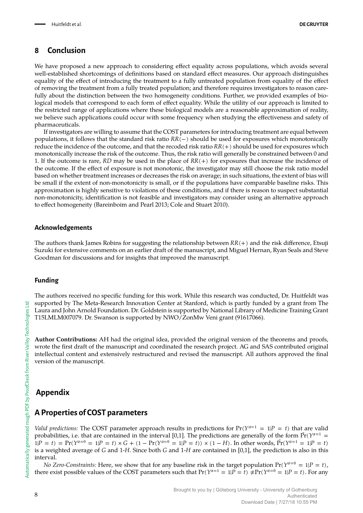# **8 Conclusion**

We have proposed a new approach to considering effect equality across populations, which avoids several well-established shortcomings of definitions based on standard effect measures. Our approach distinguishes equality of the effect of introducing the treatment to a fully untreated population from equality of the effect of removing the treatment from a fully treated population; and therefore requires investigators to reason carefully about the distinction between the two homogeneity conditions. Further, we provided examples of biological models that correspond to each form of effect equality. While the utility of our approach is limited to the restricted range of applications where these biological models are a reasonable approximation of reality, we believe such applications could occur with some frequency when studying the effectiveness and safety of pharmaceuticals.

If investigators are willing to assume that the COST parameters for introducing treatment are equal between populations, it follows that the standard risk ratio  $RR(-)$  should be used for exposures which monotonically reduce the incidence of the outcome, and that the recoded risk ratio  $RR(+)$  should be used for exposures which monotonically increase the risk of the outcome. Thus, the risk ratio will generally be constrained between 0 and 1. If the outcome is rare,  $RD$  may be used in the place of  $RR(+)$  for exposures that increase the incidence of the outcome. If the effect of exposure is not monotonic, the investigator may still choose the risk ratio model based on whether treatment increases or decreases the risk on average; in such situations, the extent of bias will be small if the extent of non-monotonicity is small, or if the populations have comparable baseline risks. This approximation is highly sensitive to violations of these conditions, and if there is reason to suspect substantial non-monotonicity, identification is not feasible and investigators may consider using an alternative approach to effect homogeneity (Bareinboim and Pearl 2013; Cole and Stuart 2010).

# **Acknowledgements**

The authors thank James Robins for suggesting the relationship between  $RR(+)$  and the risk difference, Etsuji Suzuki for extensive comments on an earlier draft of the manuscript, and Miguel Hernan, Ryan Seals and Steve Goodman for discussions and for insights that improved the manuscript.

# **Funding**

The authors received no specific funding for this work. While this research was conducted, Dr. Huitfeldt was supported by The Meta-Research Innovation Center at Stanford, which is partly funded by a grant from The Laura and John Arnold Foundation. Dr. Goldstein is supported by National Library of Medicine Training Grant T15LMLM007079. Dr. Swanson is supported by NWO/ZonMw Veni grant (91617066).

**Author Contributions:** AH had the original idea, provided the original version of the theorems and proofs, wrote the first draft of the manuscript and coordinated the research project. AG and SAS contributed original intellectual content and extensively restructured and revised the manuscript. All authors approved the final version of the manuscript.

# **Appendix**

# **A Properties of COST parameters**

*Valid predictions:* The COST parameter approach results in predictions for  $Pr(Y^{a=1} = 1 | P = t)$  that are valid probabilities, i.e. that are contained in the interval [0,1]. The predictions are generally of the form  $\hat{Pr}(Y^{a=1} =$  $1|P = t$ ) = Pr( $Y^{a=0} = 1|P = t$ ) × G + (1 – Pr( $Y^{a=0} = 1|P = t$ )) × (1 – H). In other words,  $\hat{Pr}(Y^{a=1} = 1|P = t)$ is a weighted average of *G* and 1-*H*. Since both *G* and 1-*H* are contained in [0,1], the prediction is also in this interval.

*No Zero-Constraints:* Here, we show that for any baseline risk in the target population  $Pr(Y^{a=0} = 1|P = t)$ , there exist possible values of the COST parameters such that  $Pr(Y^{a=1} = 1|P = t) \neq Pr(Y^{a=0} = 1|P = t)$ . For any

먹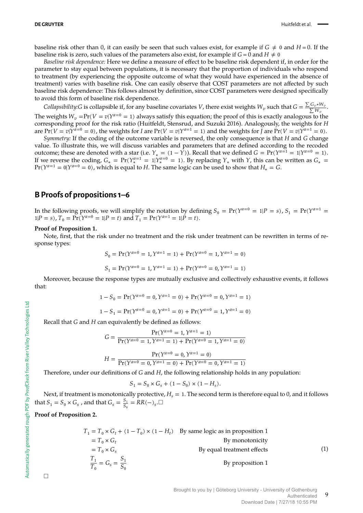baseline risk other than 0, it can easily be seen that such values exist, for example if  $G \neq 0$  and  $H = 0$ . If the baseline risk is zero, such values of the parameters also exist, for example if  $G = 0$  and  $H \neq 0$ 

*Baseline risk dependence:* Here we define a measure of effect to be baseline risk dependent if, in order for the parameter to stay equal between populations, it is necessary that the proportion of individuals who respond to treatment (by experiencing the opposite outcome of what they would have experienced in the absence of treatment) varies with baseline risk. One can easily observe that COST parameters are not affected by such baseline risk dependence: This follows almost by definition, since COST parameters were designed specifically to avoid this form of baseline risk dependence.

*Collapsibility:G* is collapsible if, for any baseline covariates *V*, there exist weights  $W_v$  such that  $G = \frac{\sum G_v * W_v}{\sum W_v}$ . The weights  $W_v = Pr(V = v|Y^{a=0} = 1)$  always satisfy this equation; the proof of this is exactly analogous to the corresponding proof for the risk ratio (Huitfeldt, Stensrud, and Suzuki 2016). Analogously, the weights for *H* are  $Pr(V = v|Y^{a=0} = 0)$ , the weights for *I* are  $Pr(V = v|Y^{a=1} = 1)$  and the weights for *J* are  $Pr(V = v|Y^{a=1} = 0)$ .

*Symmetry:* If the coding of the outcome variable is reversed, the only consequence is that *H* and *G* change value. To illustrate this, we will discuss variables and parameters that are defined according to the recoded outcome; these are denoted with a star (i.e.  $Y_* = (1 - \overline{Y})$ ). Recall that we defined  $G = \Pr(Y^{a=1} = 1 | Y^{a=0} = 1)$ . If we reverse the coding,  $G_* = \Pr(Y_*^{a=1} = 1 | Y_*^{a=0} = 1)$ . By replacing  $Y_*$  with  $Y$ , this can be written as  $G_* =$  $Pr(Y^{a=1} = 0|Y^{a=0} = 0)$ , which is equal to *H*. The same logic can be used to show that  $H_* = G$ .

# **B Proofs of propositions 1–6**

In the following proofs, we will simplify the notation by defining  $S_0 = Pr(Y^{a=0} = 1 | P = s)$ ,  $S_1 = Pr(Y^{a=1} = 1 | P = s)$  $1|P = s$ ,  $T_0 = \Pr(Y^{a=0} = 1|P = t)$  and  $T_1 = \Pr(Y^{a=1} = 1|P = t)$ .

#### **Proof of Proposition 1.**

Note, first, that the risk under no treatment and the risk under treatment can be rewritten in terms of response types:

$$
S_0 = \Pr(Y^{a=0} = 1, Y^{a=1} = 1) + \Pr(Y^{a=0} = 1, Y^{a=1} = 0)
$$
  

$$
S_1 = \Pr(Y^{a=0} = 1, Y^{a=1} = 1) + \Pr(Y^{a=0} = 0, Y^{a=1} = 1)
$$

Moreover, because the response types are mutually exclusive and collectively exhaustive events, it follows that:

$$
1 - S_0 = \Pr(Y^{a=0} = 0, Y^{a=1} = 0) + \Pr(Y^{a=0} = 0, Y^{a=1} = 1)
$$

 $1 - S_1 = \Pr(Y^{a=0} = 0, Y^{a=1} = 0) + \Pr(Y^{a=0} = 1, Y^{a=1} = 0)$ 

Recall that *G* and *H* can equivalently be defined as follows:

$$
G = \frac{\Pr(Y^{a=0} = 1, Y^{a=1} = 1)}{\Pr(Y^{a=0} = 1, Y^{a=1} = 1) + \Pr(Y^{a=0} = 1, Y^{a=1} = 0)}
$$

$$
H = \frac{\Pr(Y^{a=0} = 0, Y^{a=1} = 0)}{\Pr(Y^{a=0} = 0, Y^{a=1} = 0) + \Pr(Y^{a=0} = 0, Y^{a=1} = 1)}
$$

Therefore, under our definitions of *G* and *H*, the following relationship holds in any population:

$$
S_1 = S_0 \times G_s + (1 - S_0) \times (1 - H_s).
$$

Next, if treatment is monotonically protective,  $H_s = 1$ . The second term is therefore equal to 0, and it follows that  $S_1 = S_0 \times G_s$ , and that  $G_s = \frac{S_1}{S_0}$  $\frac{S_1}{S_0} = RR(-)_{s}$ .

#### **Proof of Proposition 2.**

| $T_1 = T_0 \times G_t + (1 - T_0) \times (1 - H_t)$ By same logic as in proposition 1 |                            |     |
|---------------------------------------------------------------------------------------|----------------------------|-----|
| $T_0 \times G_t$                                                                      | By monotonicity            |     |
| $T_0 \times G_s$                                                                      | By equal treatment effects | (1) |
| $\frac{I_1}{T_0} = G_s = \frac{S_1}{S_0}$                                             | By proposition 1           |     |

□

9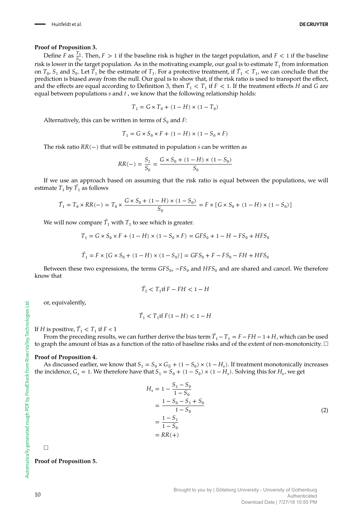#### **Proof of Proposition 3.**

Define *F* as  $\frac{T_0}{S}$  $\frac{1}{S_0}$ . Then,  $F > 1$  if the baseline risk is higher in the target population, and  $F < 1$  if the baseline risk is lower in the target population. As in the motivating example, our goal is to estimate  $T_1$  from information on  $T_0$ ,  $S_1$  and  $S_0$ . Let  $\hat{T_1}$  be the estimate of  $T_1$ . For a protective treatment, if  $\hat{T_1} < T_1$ , we can conclude that the prediction is biased away from the null. Our goal is to show that, if the risk ratio is used to transport the effect, and the effects are equal according to Definition 3, then  $\hat{T_1} < T_1$  if  $F < 1$ . If the treatment effects H and G are equal between populations *s* and *t* , we know that the following relationship holds:

$$
T_1 = G \times T_0 + (1 - H) \times (1 - T_0)
$$

Alternatively, this can be written in terms of  $S_0$  and  $F$ :

$$
T_1 = G \times S_0 \times F + (1 - H) \times (1 - S_0 \times F)
$$

The risk ratio  $RR(-)$  that will be estimated in population *s* can be written as

$$
RR(-) = \frac{S_1}{S_0} = \frac{G \times S_0 + (1 - H) \times (1 - S_0)}{S_0}
$$

If we use an approach based on assuming that the risk ratio is equal between the populations, we will estimate  $T_1$  by  $\hat{T_1}$  as follows

$$
\hat{T}_1 = T_0 \times RR(-) = T_0 \times \frac{G \times S_0 + (1 - H) \times (1 - S_0)}{S_0} = F \times [G \times S_0 + (1 - H) \times (1 - S_0)]
$$

We will now compare  $\hat{T_1}$  with  $T_1$  to see which is greater.

$$
T_1 = G \times S_0 \times F + (1 - H) \times (1 - S_0 \times F) = GFS_0 + 1 - H - FS_0 + HFS_0
$$

$$
\hat{T}_1 = F \times [G \times S_0 + (1 - H) \times (1 - S_0)] = GFS_0 + F - FS_0 - FH + HFS_0
$$

Between these two expressions, the terms  $GFS_0$ ,  $-FS_0$  and  $HFS_0$  and are shared and cancel. We therefore know that

$$
\hat{T}_1 < T_1 \text{if } F - FH < 1 - H
$$

or, equivalently,

 $\hat{T_1} < T_1$  if  $F(1 - H) < 1 - H$ 

If *H* is positive,  $\hat{T}_1 < T_1$  if  $F < 1$ 

From the preceding results, we can further derive the bias term  $\hat{T}_1 - T_1 = F - FH - 1 + H$ , which can be used to graph the amount of bias as a function of the ratio of baseline risks and of the extent of non-monotonicity. □

#### **Proof of Proposition 4.**

As discussed earlier, we know that  $S_1 = S_0 \times G_S + (1 - S_0) \times (1 - H_s)$ . If treatment monotonically increases the incidence,  $G_s = 1$ . We therefore have that  $S_1 = S_0 + (1 - S_0) \times (1 - H_s)$ . Solving this for  $H_s$ , we get

$$
H_s = 1 - \frac{S_1 - S_0}{1 - S_0}
$$
  
= 
$$
\frac{1 - S_0 - S_1 + S_0}{1 - S_0}
$$
  
= 
$$
\frac{1 - S_1}{1 - S_0}
$$
  
= RR(+) (2)

□

**Proof of Proposition 5.**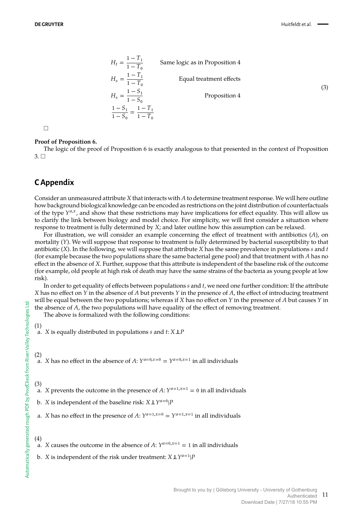$$
H_{t} = \frac{1 - T_{1}}{1 - T_{0}}
$$
 Same logic as in Proposition 4  
\n
$$
H_{s} = \frac{1 - T_{1}}{1 - T_{0}}
$$
 Equal treatment effects  
\n
$$
H_{s} = \frac{1 - S_{1}}{1 - S_{0}}
$$
Proposition 4  
\n
$$
\frac{1 - S_{1}}{1 - S_{0}} = \frac{1 - T_{1}}{1 - T_{0}}
$$
 (3)

□

## **Proof of Proposition 6.**

The logic of the proof of Proposition 6 is exactly analogous to that presented in the context of Proposition 3. □

# **C Appendix**

Consider an unmeasured attribute *X* that interacts with *A* to determine treatment response. We will here outline how background biological knowledge can be encoded as restrictions on the joint distribution of counterfactuals of the type  $Y^{a,x}$ , and show that these restrictions may have implications for effect equality. This will allow us to clarify the link between biology and model choice. For simplicity, we will first consider a situation where response to treatment is fully determined by *X*; and later outline how this assumption can be relaxed.

For illustration, we will consider an example concerning the effect of treatment with antibiotics (*A*), on mortality (*Y*). We will suppose that response to treatment is fully determined by bacterial susceptibility to that antibiotic (*X*). In the following, we will suppose that attribute *X* has the same prevalence in populations *s* and *t* (for example because the two populations share the same bacterial gene pool) and that treatment with *A* has no effect in the absence of *X*. Further, suppose that this attribute is independent of the baseline risk of the outcome (for example, old people at high risk of death may have the same strains of the bacteria as young people at low risk).

In order to get equality of effects between populations *s* and *t*, we need one further condition: If the attribute *X* has no effect on *Y* in the absence of *A* but prevents *Y* in the presence of *A*, the effect of introducing treatment will be equal between the two populations; whereas if *X* has no effect on *Y* in the presence of *A* but causes *Y* in the absence of *A*, the two populations will have equality of the effect of removing treatment.

The above is formalized with the following conditions:

# (1)

a. *X* is equally distributed in populations *s* and  $t: X \perp P$ 

(2) a. *X* has no effect in the absence of *A*:  $Y^{a=0,x=0} = Y^{a=0,x=1}$  in all individuals

(3) a. *X* prevents the outcome in the presence of *A*:  $Y^{a=1,x=1} = 0$  in all individuals

b. X is independent of the baseline risk:  $X \perp \hspace{-0.1cm} \perp Y^{a=0} | P$ 

a. *X* has no effect in the presence of *A*:  $Y^{a=1,x=0} = Y^{a=1,x=1}$  in all individuals

(4) a. *X* causes the outcome in the absence of *A*:  $Y^{a=0,x=1} = 1$  in all individuals

b. *X* is independent of the risk under treatment:  $X \perp Y^{a=1} | P$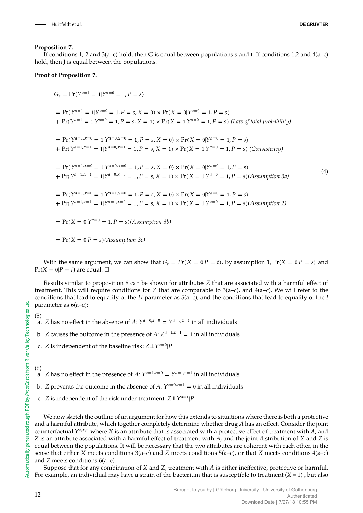## **Proposition 7.**

If conditions 1, 2 and 3(a–c) hold, then G is equal between populations s and t. If conditions 1,2 and 4(a–c) hold, then J is equal between the populations.

# **Proof of Proposition 7.**

 $G_s = Pr(Y^{a=1} = 1 | Y^{a=0} = 1, P = s)$  $= Pr(Y^{a=1} = 1 | Y^{a=0} = 1, P = s, X = 0) \times Pr(X = 0 | Y^{a=0} = 1, P = s)$  $+ \Pr(Y^{a=1} = 1 | Y^{a=0} = 1, P = s, X = 1) \times \Pr(X = 1 | Y^{a=0} = 1, P = s)$  (Law of total probability)  $= Pr(Y^{a=1,x=0} = 1 | Y^{a=0,x=0} = 1, P = s, X = 0) \times Pr(X = 0 | Y^{a=0} = 1, P = s)$  $+ \Pr(Y^{a=1,x=1} = 1 | Y^{a=0,x=1} = 1, P = s, X = 1) \times \Pr(X = 1 | Y^{a=0} = 1, P = s)$  *(Consistency)*  $= Pr(Y^{a=1,x=0} = 1 | Y^{a=0,x=0} = 1, P = s, X = 0) \times Pr(X = 0 | Y^{a=0} = 1, P = s)$  $+ \Pr(Y^{a=1,x=1} = 1 | Y^{a=0,x=0} = 1, P = s, X = 1) \times \Pr(X = 1 | Y^{a=0} = 1, P = s)$ (Assumption 3a)  $= Pr(Y^{a=1,x=0} = 1 | Y^{a=1,x=0} = 1, P = s, X = 0) \times Pr(X = 0 | Y^{a=0} = 1, P = s)$  $+ \Pr(Y^{a=1,x=1} = 1 | Y^{a=1,x=0} = 1, P = s, X = 1) \times \Pr(X = 1 | Y^{a=0} = 1, P = s)$ (Assumption 2)  $= Pr(X = 0|Y^{a=0} = 1, P = s)(Assumption 3b)$  $= Pr(X = 0|P = s)(Assumption 3c)$ (4)

With the same argument, we can show that  $G_t = Pr(X = 0|P = t)$ . By assumption 1,  $Pr(X = 0|P = s)$  and  $Pr(X = 0|P = t)$  are equal.  $\square$ 

Results similar to proposition 8 can be shown for attributes *Z* that are associated with a harmful effect of treatment. This will require conditions for *Z* that are comparable to 3(a–c), and 4(a–c). We will refer to the conditions that lead to equality of the *H* parameter as 5(a–c), and the conditions that lead to equality of the *I* parameter as 6(a–c):

(5)

a. *Z* has no effect in the absence of *A*:  $Y^{a=0,z=0} = Y^{a=0,z=1}$  in all individuals

b. *Z* causes the outcome in the presence of  $A: Z^{a=1,z=1} = 1$  in all individuals

- c. *Z* is independent of the baseline risk:  $Z \perp Y^{a=0}$  |*P*
- (6) a. *Z* has no effect in the presence of *A*:  $Y^{a=1,z=0} = Y^{a=1,z=1}$  in all individuals

b. *Z* prevents the outcome in the absence of *A*:  $Y^{a=0,z=1} = 0$  in all individuals

c. *Z* is independent of the risk under treatment:  $Z \perp Y^{a=1} | P$ 

We now sketch the outline of an argument for how this extends to situations where there is both a protective and a harmful attribute, which together completely determine whether drug *A* has an effect. Consider the joint counterfactual  $Y^{a,x,z}$  where X is an attribute that is associated with a protective effect of treatment with A, and *Z* is an attribute associated with a harmful effect of treatment with *A*, and the joint distribution of *X* and *Z* is equal between the populations. It will be necessary that the two attributes are coherent with each other, in the sense that either *X* meets conditions 3(a–c) and *Z* meets conditions 5(a–c), or that *X* meets conditions 4(a–c) and *Z* meets conditions 6(a–c).

Suppose that for any combination of *X* and *Z*, treatment with *A* is either ineffective, protective or harmful. For example, an individual may have a strain of the bacterium that is susceptible to treatment (*X* = 1) , but also

12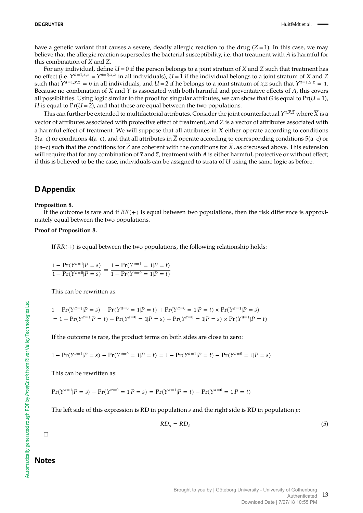have a genetic variant that causes a severe, deadly allergic reaction to the drug  $(Z=1)$ . In this case, we may believe that the allergic reaction supersedes the bacterial susceptibility, i.e. that treatment with *A* is harmful for this combination of *X* and *Z*.

For any individual, define *U* = 0 if the person belongs to a joint stratum of *X* and *Z* such that treatment has no effect (i.e.  $Y^{a=1,x,z} = Y^{a=0,x,z}$  in all individuals),  $U=1$  if the individual belongs to a joint stratum of *X* and *Z* such that  $Y^{a=1,x,z}=0$  in all individuals, and  $U=2$  if he belongs to a joint stratum of  $x,z$  such that  $Y^{a=1,x,z}=1$ . Because no combination of *X* and *Y* is associated with both harmful and preventative effects of *A*, this covers all possibilities. Using logic similar to the proof for singular attributes, we can show that *G* is equal to  $Pr(U = 1)$ , *H* is equal to  $Pr(U = 2)$ , and that these are equal between the two populations.

This can further be extended to multifactorial attributes. Consider the joint counterfactual  $Y^{a,\overline{x},\overline{z}}$  where  $\overline{X}$  is a vector of attributes associated with protective effect of treatment, and  $\overline{Z}$  is a vector of attributes associated with a harmful effect of treatment. We will suppose that all attributes in  $\overline{X}$  either operate according to conditions  $3(a-c)$  or conditions  $4(a-c)$ , and that all attributes in  $\overline{Z}$  operate according to corresponding conditions  $5(a-c)$  or (6a–c) such that the conditions for  $\overline{Z}$  are coherent with the conditions for  $\overline{X}$ , as discussed above. This extension will require that for any combination of  $\bar{x}$  and  $\bar{z}$ , treatment with *A* is either harmful, protective or without effect; if this is believed to be the case, individuals can be assigned to strata of *U* using the same logic as before.

# **D Appendix**

#### **Proposition 8.**

If the outcome is rare and if  $RR(+)$  is equal between two populations, then the risk difference is approximately equal between the two populations.

#### **Proof of Proposition 8.**

If  $RR(+)$  is equal between the two populations, the following relationship holds:

$$
\frac{1 - \Pr(Y^{a=1}|P=s)}{1 - \Pr(Y^{a=0}|P=s)} = \frac{1 - \Pr(Y^{a=1}=1|P=t)}{1 - \Pr(Y^{a=0}=1|P=t)}
$$

This can be rewritten as:

$$
1 - \Pr(Y^{a=1}|P = s) - \Pr(Y^{a=0} = 1|P = t) + \Pr(Y^{a=0} = 1|P = t) \times \Pr(Y^{a=1}|P = s)
$$
  
= 1 - \Pr(Y^{a=1}|P = t) - \Pr(Y^{a=0} = 1|P = s) + \Pr(Y^{a=0} = 1|P = s) \times \Pr(Y^{a=1}|P = t)

If the outcome is rare, the product terms on both sides are close to zero:

$$
1 - \Pr(Y^{a=1}|P=s) - \Pr(Y^{a=0}=1|P=t) = 1 - \Pr(Y^{a=1}|P=t) - \Pr(Y^{a=0}=1|P=s)
$$

This can be rewritten as:

$$
Pr(Y^{a=1}|P=s) - Pr(Y^{a=0}=1|P=s) = Pr(Y^{a=1}|P=t) - Pr(Y^{a=0}=1|P=t)
$$

The left side of this expression is RD in population  $s$  and the right side is RD in population  $p$ :

$$
RD_s = RD_t \tag{5}
$$

□

#### **Notes**